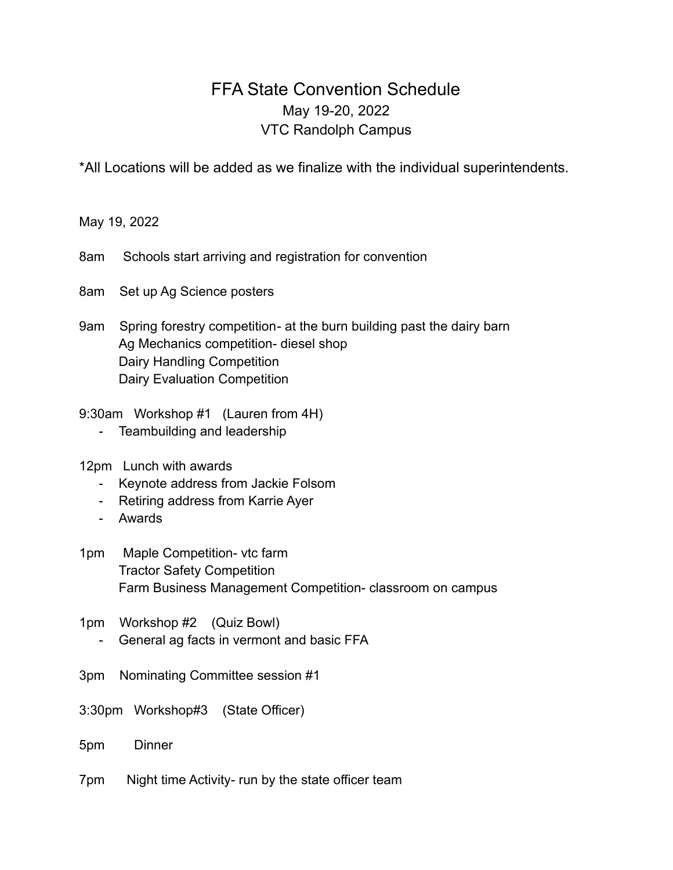## FFA State Convention Schedule May 19-20, 2022 VTC Randolph Campus

\*All Locations will be added as we finalize with the individual superintendents.

May 19, 2022

8am Schools start arriving and registration for convention

8am Set up Ag Science posters

9am Spring forestry competition- at the burn building past the dairy barn Ag Mechanics competition- diesel shop Dairy Handling Competition Dairy Evaluation Competition

9:30am Workshop #1 (Lauren from 4H)

- Teambuilding and leadership
- 12pm Lunch with awards
	- Keynote address from Jackie Folsom
	- Retiring address from Karrie Ayer
	- Awards
- 1pm Maple Competition- vtc farm Tractor Safety Competition Farm Business Management Competition- classroom on campus
- 1pm Workshop #2 (Quiz Bowl)
	- General ag facts in vermont and basic FFA
- 3pm Nominating Committee session #1
- 3:30pm Workshop#3 (State Officer)
- 5pm Dinner
- 7pm Night time Activity- run by the state officer team